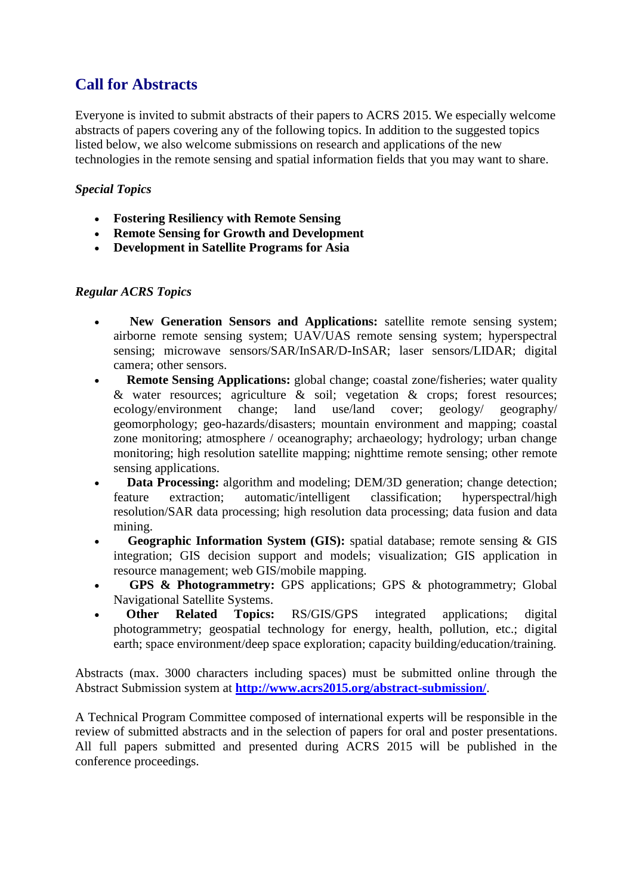# **Call for Abstracts**

Everyone is invited to submit abstracts of their papers to ACRS 2015. We especially welcome abstracts of papers covering any of the following topics. In addition to the suggested topics listed below, we also welcome submissions on research and applications of the new technologies in the remote sensing and spatial information fields that you may want to share.

#### *Special Topics*

- **Fostering Resiliency with Remote Sensing**
- **Remote Sensing for Growth and Development**
- **Development in Satellite Programs for Asia**

#### *Regular ACRS Topics*

- **New Generation Sensors and Applications:** satellite remote sensing system; airborne remote sensing system; UAV/UAS remote sensing system; hyperspectral sensing; microwave sensors/SAR/InSAR/D-InSAR; laser sensors/LIDAR; digital camera; other sensors.
- **Remote Sensing Applications:** global change; coastal zone/fisheries; water quality & water resources; agriculture  $\&$  soil; vegetation  $\&$  crops; forest resources; ecology/environment change; land use/land cover; geology/ geography/ geomorphology; geo-hazards/disasters; mountain environment and mapping; coastal zone monitoring; atmosphere / oceanography; archaeology; hydrology; urban change monitoring; high resolution satellite mapping; nighttime remote sensing; other remote sensing applications.
- **Data Processing:** algorithm and modeling: DEM/3D generation; change detection; feature extraction; automatic/intelligent classification; hyperspectral/high resolution/SAR data processing; high resolution data processing; data fusion and data mining.
- **Geographic Information System (GIS):** spatial database; remote sensing & GIS integration; GIS decision support and models; visualization; GIS application in resource management; web GIS/mobile mapping.
- **GPS & Photogrammetry:** GPS applications; GPS & photogrammetry; Global Navigational Satellite Systems.
- **Other Related Topics:** RS/GIS/GPS integrated applications; digital photogrammetry; geospatial technology for energy, health, pollution, etc.; digital earth; space environment/deep space exploration; capacity building/education/training.

Abstracts (max. 3000 characters including spaces) must be submitted online through the Abstract Submission system at **<http://www.acrs2015.org/abstract-submission/>**.

A Technical Program Committee composed of international experts will be responsible in the review of submitted abstracts and in the selection of papers for oral and poster presentations. All full papers submitted and presented during ACRS 2015 will be published in the conference proceedings.